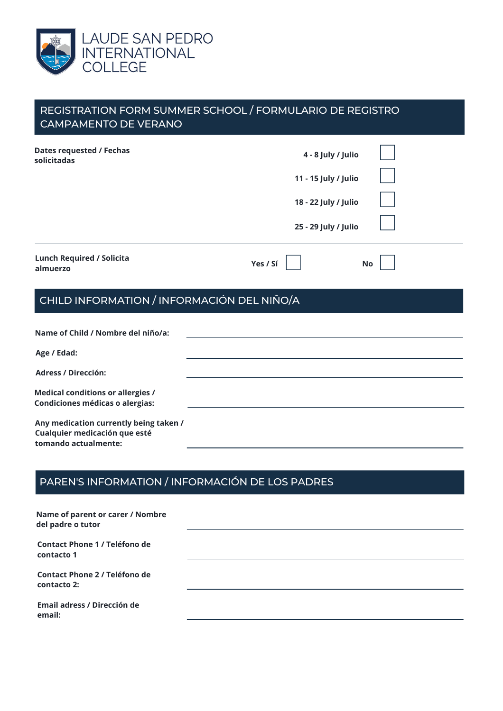

| <b>CAMPAMENTO DE VERANO</b>                                                                     | REGISTRATION FORM SUMMER SCHOOL / FORMULARIO DE REGISTRO                                   |
|-------------------------------------------------------------------------------------------------|--------------------------------------------------------------------------------------------|
| <b>Dates requested / Fechas</b><br>solicitadas                                                  | 4 - 8 July / Julio<br>11 - 15 July / Julio<br>18 - 22 July / Julio<br>25 - 29 July / Julio |
| <b>Lunch Required / Solicita</b><br>almuerzo                                                    | Yes / Sí<br><b>No</b>                                                                      |
| CHILD INFORMATION / INFORMACIÓN DEL NIÑO/A                                                      |                                                                                            |
| Name of Child / Nombre del niño/a:                                                              |                                                                                            |
| Age / Edad:                                                                                     |                                                                                            |
| <b>Adress / Dirección:</b>                                                                      |                                                                                            |
| <b>Medical conditions or allergies /</b><br>Condiciones médicas o alergias:                     |                                                                                            |
| Any medication currently being taken /<br>Cualquier medicación que esté<br>tomando actualmente: |                                                                                            |

## PAREN'S INFORMATION / INFORMACIÓN DE LOS PADRES

| Name of parent or carer / Nombre<br>del padre o tutor |  |
|-------------------------------------------------------|--|
| Contact Phone 1 / Teléfono de<br>contacto 1           |  |
| Contact Phone 2 / Teléfono de<br>contacto 2:          |  |
| Email adress / Dirección de<br>email:                 |  |